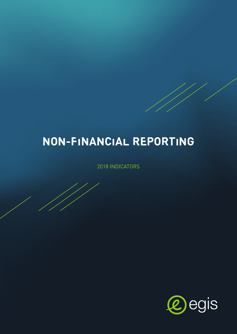# NON-FINANCIAL REPORTING

2018 INDICATORS

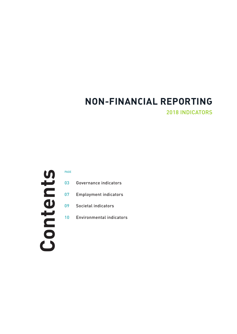# **NON-FINANCIAL REPORTING** 2018 INDICATORS

# Contents

- Governance indicators
- Employment indicators
- Societal indicators
- Environmental indicators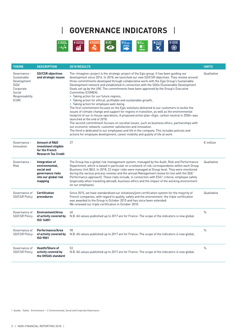

| <b>THEME</b>                                                                                         | <b>DESCRIPTION</b>                                                                                    | <b>2018 RESULTS</b>                                                                                                                                                                                                                                                                                                                                                                                                                                                                                                                                                                                                                                                                                                                                                                                                                                                                                                                                                                                                                                                                                                                                                                                                                                                                                                                       | <b>UNITS</b>       |
|------------------------------------------------------------------------------------------------------|-------------------------------------------------------------------------------------------------------|-------------------------------------------------------------------------------------------------------------------------------------------------------------------------------------------------------------------------------------------------------------------------------------------------------------------------------------------------------------------------------------------------------------------------------------------------------------------------------------------------------------------------------------------------------------------------------------------------------------------------------------------------------------------------------------------------------------------------------------------------------------------------------------------------------------------------------------------------------------------------------------------------------------------------------------------------------------------------------------------------------------------------------------------------------------------------------------------------------------------------------------------------------------------------------------------------------------------------------------------------------------------------------------------------------------------------------------------|--------------------|
| Governance -<br>Sustainable<br>Development<br>(SD)<br>Corporate<br>Social<br>Responsability<br>(CSR) | <b>SD/CSR objectives</b><br>and strategic issues                                                      | The «Imagine» project is the strategic project of the Egis group. It has been guiding our<br>development since 2016. In 2018, we launched our new SD/CSR objectives. They revolve around<br>three commitments developed through collaborative work with the Egis Group's Sustainable<br>Development network and established in connection with the SDGs (Sustainable Development<br>Goals set up by the UN). The commitments have been approved by the Group's Executive<br>Committee (COMEX):<br>• Taking action for our future regions,<br>• Taking action for ethical, profitable and sustainable growth,<br>• Taking action for employee well-being.<br>The first commitment focuses on the Egis solutions delivered to our customers to tackle the<br>issues of climate change and support for regions in transition, as well as the environmental<br>footprint of our in-house operations. A proposed action plan «Egis: carbon neutral in 2050» was<br>launched at the end of 2018.<br>The second commitment focuses on societal issues, such as business ethics, partnerships with<br>our economic network, customer satisfaction and innovation.<br>The third is dedicated to our employees and life in the company. This includes policies and<br>actions for employee development, career mobility and quality of life at work | Qualitative        |
| Governance -<br>Innovation                                                                           | <b>Amount of R&amp;D</b><br>investment eligible<br>for the French<br><b>Research Tax Credit</b>       | 27                                                                                                                                                                                                                                                                                                                                                                                                                                                                                                                                                                                                                                                                                                                                                                                                                                                                                                                                                                                                                                                                                                                                                                                                                                                                                                                                        | $\epsilon$ million |
| Governance -<br><b>Risk</b>                                                                          | Integration of<br>environmental,<br>social and<br>governance risks<br>into our global risk<br>mapping | The Group has a global risk management system, managed by the Audit, Risk and Performance<br>Department, which is based in particular on a network of risk correspondents within each Group<br>Business Unit (BU). In 2018, 22 major risks were managed at Group level. They were monitored<br>during the various process reviews and the annual Management review (in line with the $QSE1$<br>Performance approach). These risks include, in connection with ESG <sup>2</sup> criteria: employee safety<br>(especially when travelling abroad), business ethics and the impact of the working environment<br>on our employees.                                                                                                                                                                                                                                                                                                                                                                                                                                                                                                                                                                                                                                                                                                           | Qualitative        |
| Governance of<br><b>SD/CSR Policy</b>                                                                | <b>Certification</b><br>procedures                                                                    | Since 2015, we have standardised our initiatives/joint certification system for the majority of<br>French companies, with regard to quality, safety and the environment: the triple certification<br>was awarded to the Group in October 2015 and has since been extended.<br>We renewed our triple certification in October 2018.                                                                                                                                                                                                                                                                                                                                                                                                                                                                                                                                                                                                                                                                                                                                                                                                                                                                                                                                                                                                        | Qualitative        |
| Governance of<br><b>SD/CSR Policy</b>                                                                | <b>Environment/Area</b><br>of activity covered by<br>ISO 14001                                        | 40<br>N.B. All values published up to 2017 are for France. The scope of the indicators is now global.                                                                                                                                                                                                                                                                                                                                                                                                                                                                                                                                                                                                                                                                                                                                                                                                                                                                                                                                                                                                                                                                                                                                                                                                                                     | $\frac{0}{0}$      |
| Governance of<br><b>SD/CSR Policy</b>                                                                | Performance/Area<br>of activity covered by<br><b>ISO 9001</b>                                         | 98<br>N.B. All values published up to 2017 are for France. The scope of the indicators is now global.                                                                                                                                                                                                                                                                                                                                                                                                                                                                                                                                                                                                                                                                                                                                                                                                                                                                                                                                                                                                                                                                                                                                                                                                                                     | $\%$               |
| Governance of<br><b>SD/CSR Policy</b>                                                                | <b>Health/Share of</b><br>activity covered by<br>the OHSAS standard                                   | 53<br>N.B. All values published up to 2017 are for France. The scope of the indicators is now global.                                                                                                                                                                                                                                                                                                                                                                                                                                                                                                                                                                                                                                                                                                                                                                                                                                                                                                                                                                                                                                                                                                                                                                                                                                     | $\frac{0}{0}$      |

1. Quality - Safety - Environment — 2. Environmental, Social and Corporate Governance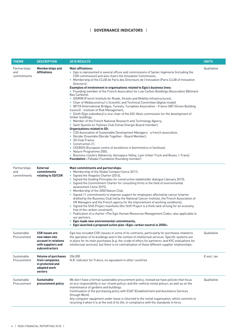| <b>THEME</b>                       | <b>DESCRIPTION</b>                                                                                      | <b>2018 RESULTS</b>                                                                                                                                                                                                                                                                                                                                                                                                                                                                                                                                                                                                                                                                                                                                                                                                                                                                                                                                                                                                                                                                                                                                                                                                                                                                                                                                                                                                                                                                                                                                              | <b>UNITS</b>         |
|------------------------------------|---------------------------------------------------------------------------------------------------------|------------------------------------------------------------------------------------------------------------------------------------------------------------------------------------------------------------------------------------------------------------------------------------------------------------------------------------------------------------------------------------------------------------------------------------------------------------------------------------------------------------------------------------------------------------------------------------------------------------------------------------------------------------------------------------------------------------------------------------------------------------------------------------------------------------------------------------------------------------------------------------------------------------------------------------------------------------------------------------------------------------------------------------------------------------------------------------------------------------------------------------------------------------------------------------------------------------------------------------------------------------------------------------------------------------------------------------------------------------------------------------------------------------------------------------------------------------------------------------------------------------------------------------------------------------------|----------------------|
| Partnerships<br>and<br>commitments | <b>Memberships and</b><br><b>Affiliations</b>                                                           | <b>Main affiliations:</b><br>• Egis is represented in several offices and commissions of Syntec Ingénierie (including the<br>CSR commission) and also chairs the Innovation Commission,<br>• Membership of the CLUB de Paris des Directeurs de l'Innovation (Paris CLUB of Innovation<br>Directors).<br>Examples of involvement in organisations related to Egis's business lines:<br>• Founding member of the French Association for Low Carbon Buildings (Association Bâtiment<br>Bas Carbone),<br>• IDDRIM (French Institute for Roads, Streets and Mobility Infrastructures),<br>• Chair of Médiaconstruct's Scientific and Technical Committee (digital model)<br>• IBTTA (International Bridges, Tunnels, Turnpikes Association - France GBT (Green Building<br>Council) - Institute of Risk Management,<br>• Elioth (Egis subsidiary) is vice-chair of the ADI-Vbois commission for the development of<br>timber buildings,<br>• Member of the French National Research and Technology Agency,<br>· Saint Quentin en Yvelines Club Climat Energie (board member).<br><b>Organisations related to SD:</b><br>• C3D Association of Sustainable Development Managers - a french association,<br>• Décider Ensemble (Decide Together - Board Member),<br>• SD Club France,<br>• Construction 21.<br>• CEEBIOS (European centre of excellence in biomimetics in Senlisse),<br>• Nature Programme 2050,<br>• Business clusters (Advancity, Aerospace Valley, Lyon Urban Truck and Buses, I-Trans).<br><b>Foundation</b> : Palladio Foundation (founding member) | Qualitative          |
| Partnerships<br>and<br>commitments | <b>External</b><br>commitments<br>relating to SD/CSR                                                    | Main commitments and partnerships:<br>• Membership of the Global Compact (since 2011),<br>• Signed the Vivapolis Charter (2014),<br>• Signed the Guiding Principles for constructive stakeholder dialogue (January 2015),<br>• Signed the Commitment Charter for consulting firms in the field of environmental<br>assessment (June 2015),<br>• Membership of the 2050 Nature Club,<br>• Signed 11 commitments to improve support for employees affected by cancer (charter<br>drafted by the Business Club led by the National Cancer Institute, the French Association of<br>HR Managers and the French agency for the improvement of working conditions),<br>• Signed the Shift Project manifesto (the Shift Project is a think tank striving for an economy<br>free of the carbon constraint).<br>• Publication of a charter «The Egis Human Resources Management Code», also applicable to<br>our partners,<br>• Egis made new environmental commitments,<br>• Egis launched a proposed action plan «Egis: carbon neutral in 2050».                                                                                                                                                                                                                                                                                                                                                                                                                                                                                                                         |                      |
| Sustainable<br>Procurement         | <b>CSR</b> issues are<br>now taken into<br>account in relations<br>with suppliers and<br>subcontractors | Egis has included CSR clauses in some of its contracts, particularly for purchases related to<br>the operation of its buildings and in the context of intellectual services. Specific systems are<br>in place for its main purchases (e.g. the «code of ethics for partners» and KYC evaluations for<br>intellectual services), but there is no centralisation of these different supplier relationships.                                                                                                                                                                                                                                                                                                                                                                                                                                                                                                                                                                                                                                                                                                                                                                                                                                                                                                                                                                                                                                                                                                                                                        | Qualitative          |
| Sustainable<br>Procurement         | <b>Volume of purchases</b><br>from companies<br>in protected and<br>adapted work<br>sectors             | 206,000<br>N.B. Indicator for France, no equivalent in other countries                                                                                                                                                                                                                                                                                                                                                                                                                                                                                                                                                                                                                                                                                                                                                                                                                                                                                                                                                                                                                                                                                                                                                                                                                                                                                                                                                                                                                                                                                           | $\epsilon$ excl. tax |
| Sustainable<br>Procurement         | <b>Sustainable</b><br>procurement policy                                                                | We don't have a formal sustainable procurement policy; instead we have policies that focus<br>on eco-responsibility in our «travel policy» and the «vehicle rental policy», as well as on the<br>maintenance of gardens and buildings.<br>Continuation of the purchasing policy with ESAT (Establishment and Assistance Services<br>through Work).<br>Any computer equipment under lease is returned to the rental organisation, which commits to<br>recycling it when it is at the end of its life, in compliance with the standards in force.                                                                                                                                                                                                                                                                                                                                                                                                                                                                                                                                                                                                                                                                                                                                                                                                                                                                                                                                                                                                                  | Qualitative          |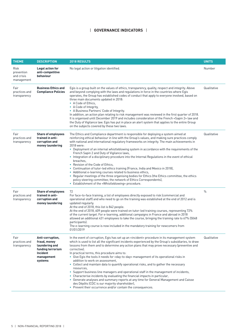| <b>THEME</b>                                   | <b>DESCRIPTION</b>                                                                                           | <b>2018 RESULTS</b>                                                                                                                                                                                                                                                                                                                                                                                                                                                                                                                                                                                                                                                                                                                                                                                                                                                                                                                                                                        | <b>UNITS</b>  |
|------------------------------------------------|--------------------------------------------------------------------------------------------------------------|--------------------------------------------------------------------------------------------------------------------------------------------------------------------------------------------------------------------------------------------------------------------------------------------------------------------------------------------------------------------------------------------------------------------------------------------------------------------------------------------------------------------------------------------------------------------------------------------------------------------------------------------------------------------------------------------------------------------------------------------------------------------------------------------------------------------------------------------------------------------------------------------------------------------------------------------------------------------------------------------|---------------|
| Risk<br>prevention<br>and crisis<br>management | Legal action for<br>anti-competitive<br>behaviour                                                            | No legal action or litigation identified.                                                                                                                                                                                                                                                                                                                                                                                                                                                                                                                                                                                                                                                                                                                                                                                                                                                                                                                                                  | Number        |
| Fair<br>practices and<br>transparency          | <b>Business Ethics and</b><br><b>Compliance Policies</b>                                                     | Egis is a group built on the values of ethics, transparency, quality, respect and integrity. Above<br>and beyond complying with the laws and regulations in force in the countries where Egis<br>operates, the Group has established codes of conduct that apply to everyone involved, based on<br>three main documents updated in 2018:<br>• A Code of Ethics.<br>• A Code of Integrity,<br>• A Business Partners' Code of Integrity.<br>In addition, an action plan relating to risk management was reviewed in the first quarter of 2018.<br>It is organised until December 2019 and includes consideration of the French «Sapin 2» law and<br>the Duty of Vigilance law. Egis has put in place an alert system that applies to the entire Group<br>on the subjects covered by these two laws.                                                                                                                                                                                          | Qualitative   |
| Fair<br>practices and<br>transparency          | <b>Share of employees</b><br>trained in anti-<br>corruption and<br>money laundering                          | The Ethics and Compliance department is responsible for deploying a system aimed at<br>reinforcing ethical behaviour in line with the Group's values, and making sure practices comply<br>with national and international regulatory frameworks on integrity. The main achievements in<br>2018 were:<br>• Deployment of an internal whistleblowing system in accordance with the requirements of the<br>French Sapin 2 and Duty of Vigilance laws,<br>• Integration of a disciplinary procedure into the Internal Regulations in the event of ethical<br>breaches.<br>• Revision of the Code of Ethics,<br>• Continuation of tutor-led ethics training (France, India and Mexico in 2018),<br>• Additional e-learning courses related to business ethics,<br>• Regular meetings of the three organising bodies for Ethics (the Ethics committee, the ethics<br>policy steering committee; the network of Ethics Correspondents),<br>• Establishment of the «Whistleblowing» procedure.     | Qualitative   |
| Fair<br>practices and<br>transparency          | <b>Share of employees</b><br>trained in anti-<br>corruption and<br>money laundering                          | 72<br>For face-to-face training, a list of employees directly exposed to risk (commercial and<br>operational staff) and who need to go on the training was established at the end of 2012 and is<br>updated regularly.<br>At the end of 2018, this list is 842 people.<br>At the end of 2018, 609 people were trained on tutor-led training courses, representing 72%<br>of the current target. For e-learning, additional campaigns in France and abroad in 2018<br>allowed an additional 431 employees to take the course, bringing the training rate to 67% (5048<br>participants).<br>The e-learning course is now included in the mandatory training for newcomers from<br>01/01/2019                                                                                                                                                                                                                                                                                                 | $\frac{0}{0}$ |
| Fair<br>practices and<br>transparency          | Anti-corruption,<br>fraud, money<br>laundering and<br>funding terrorism<br>Incident<br>management<br>systems | In the event of corruption, Eqis has set up an «incident» procedure in its management system<br>which is used to list all the significant incidents experienced by the Group's subsidiaries, to draw<br>lessons from them and to determine any action plans that may prove necessary (preventive and<br>corrective).<br>In practical terms, this procedure aims to:<br>• Give Egis the tools it needs for «day-to-day» management of its operational risks in<br>addition to work on assessment,<br>• Collect and maintain data to quantify operational risks, and to gather the necessary<br>resources,<br>• Support business line managers and operational staff in the management of incidents,<br>• Characterise incidents by evaluating the financial impacts in particular,<br>• Generate analyses and summary reports at any time for General Management and Caisse<br>des Dépôts (CDC is our majority shareholder),<br>• Prevent their occurrence and/or contain the consequences. | Qualitative   |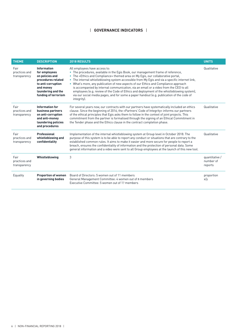| <b>THEME</b>                          | <b>DESCRIPTION</b>                                                                                                                                            | 2018 RESULTS                                                                                                                                                                                                                                                                                                                                                                                                                                                                                                                                                                                                                                                                                     | <b>UNITS</b>                           |
|---------------------------------------|---------------------------------------------------------------------------------------------------------------------------------------------------------------|--------------------------------------------------------------------------------------------------------------------------------------------------------------------------------------------------------------------------------------------------------------------------------------------------------------------------------------------------------------------------------------------------------------------------------------------------------------------------------------------------------------------------------------------------------------------------------------------------------------------------------------------------------------------------------------------------|----------------------------------------|
| Fair<br>practices and<br>transparency | <b>Information</b><br>for employees<br>on policies and<br>procedures related<br>to anti-corruption<br>and money<br>laundering and the<br>funding of terrorism | All employees have access to:<br>• The procedures, available in the Egis Book, our management frame of reference,<br>• The «Ethics and Compliance» themed area on My Egis, our collaborative portal,<br>• The internal whistleblowing system accessible from My Eqis and via a specific internet link,<br>• What's more, any publication of new aspects of our Ethics and Compliance approach<br>is accompanied by internal communication, via an email or a video from the CEO to all<br>employees (e.g. review of the Code of Ethics and deployment of the whistleblowing system),<br>via our social media pages, and for some a paper handout (e.g. publication of the code of<br>integrity). | Qualitative                            |
| Fair<br>practices and<br>transparency | Information for<br>business partners<br>on anti-corruption<br>and anti-money<br>laundering policies<br>and procedures                                         | For several years now, our contracts with our partners have systematically included an ethics<br>clause. Since the beginning of 2016, the «Partners' Code of Integrity» informs our partners<br>of the ethical principles that Egis asks them to follow in the context of joint projects. This<br>commitment from the partner is formalised through the signing of an Ethical Commitment in<br>the Tender phase and the Ethics clause in the contract completion phase.                                                                                                                                                                                                                          | Qualitative                            |
| Fair<br>practices and<br>transparency | Professional<br>whistleblowing and<br>confidentiality                                                                                                         | Implementation of the internal whistleblowing system at Group level in October 2018. The<br>purpose of this system is to be able to report any conduct or situations that are contrary to the<br>established common rules. It aims to make it easier and more secure for people to report a<br>breach, ensures the confidentiality of information and the protection of personal data. Some<br>general information and a video were sent to all Group employees at the launch of this new tool.                                                                                                                                                                                                  | Qualitative                            |
| Fair<br>practices and<br>transparency | Whistleblowing                                                                                                                                                | 3                                                                                                                                                                                                                                                                                                                                                                                                                                                                                                                                                                                                                                                                                                | quantitative /<br>number of<br>reports |
| Equality                              | <b>Proportion of women</b><br>in governing bodies                                                                                                             | Board of Directors: 5 women out of 11 members<br>General Management Committee: 4 women out of 8 members<br>Executive Committee: 5 women out of 17 members                                                                                                                                                                                                                                                                                                                                                                                                                                                                                                                                        | proportion<br>x/y                      |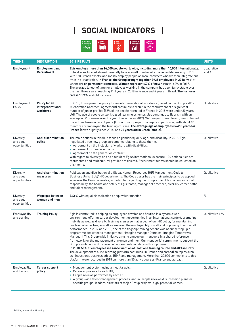# | **SOCIAL INDICATORS** |



| <b>THEME</b>                            | <b>DESCRIPTION</b>                              | 2018 RESULTS                                                                                                                                                                                                                                                                                                                                                                                                                                                                                                                                                                                                                                                                                                                                                                                                                                                                                                                                                                                                                                                                                                                                                                                                                                 | <b>UNITS</b>         |
|-----------------------------------------|-------------------------------------------------|----------------------------------------------------------------------------------------------------------------------------------------------------------------------------------------------------------------------------------------------------------------------------------------------------------------------------------------------------------------------------------------------------------------------------------------------------------------------------------------------------------------------------------------------------------------------------------------------------------------------------------------------------------------------------------------------------------------------------------------------------------------------------------------------------------------------------------------------------------------------------------------------------------------------------------------------------------------------------------------------------------------------------------------------------------------------------------------------------------------------------------------------------------------------------------------------------------------------------------------------|----------------------|
| Employment                              | <b>Employment and</b><br>Recruitment            | Egis employs more than 14,000 people worldwide, including more than 10,000 internationally.<br>Subsidiaries located abroad generally have a small number of expatriates (decreasing in 2018<br>with 160 French expats) and mostly employ people on local contracts who we then integrate and<br>train in our activities. In France, the Group brought together 3935 employees in 2018, 96% of<br>whom are on permanent contracts. Women represent 47% of new hires vs. 40% in 2017.<br>The average length of time for employees working in the company has been fairly stable over<br>the past three years, reaching 11.1 years in 2018 in France and 4 years in Brazil. The turnover<br>rate is 13.9%, a slight increase.                                                                                                                                                                                                                                                                                                                                                                                                                                                                                                                   | qualitative<br>and % |
| Employment<br>Policy                    | Policy for an<br>intergenerational<br>workforce | In 2018, Egis's proactive policy for an intergenerational workforce (based on the Group's 2017<br>«Generation Contract» agreement) continues to result in the recruitment of a significant<br>number of junior profiles (52% of the people recruited in France in 2018 were under 30 years<br>old). The use of people on work-based learning schemes also continues to flourish, with an<br>average of 71 trainees over the year (the same as 2017). With regard to mentoring, we continued<br>the actions taken in recent years (for our junior project managers in particular) with about 60<br>mentors accompanying the training courses. The average age of employees is 42.3 years for<br>France (down slightly since 2016) and 38 years old in Brazil (stable).                                                                                                                                                                                                                                                                                                                                                                                                                                                                        | Qualitative          |
| Diversity<br>and equal<br>opportunities | Anti-discrimination<br>policy                   | The main actions in this field focus on gender equality, age, and disability. In 2016, Egis<br>negotiated three new group agreements relating to these themes:<br>• Agreement on the inclusion of workers with disabilities,<br>• Agreement on gender equality,<br>• Agreement on the generation contract.<br>With regard to diversity, and as a result of Egis's international exposure, 100 nationalities are<br>represented and multicultural profiles are desired. Recruitment teams should be educated on<br>this theme.                                                                                                                                                                                                                                                                                                                                                                                                                                                                                                                                                                                                                                                                                                                | Qualitative          |
| Diversity<br>and equal<br>opportunities | Anti-discrimination<br>measures                 | Publication and distribution of a Global Human Resources (HR) Management Code to<br>Business Units (BUs)' HR departments. The Code describes the main principles to be applied<br>wherever the Group operates, in particular regarding the Group's main HR challenges: social<br>responsibility, the health and safety of Egis teams, managerial practices, diversity, career paths<br>and talent management.                                                                                                                                                                                                                                                                                                                                                                                                                                                                                                                                                                                                                                                                                                                                                                                                                                | Qualitative          |
| Diversity<br>and equal<br>opportunities | Wage gap between<br>women and men               | 3,46% with equal classification or equivalent function                                                                                                                                                                                                                                                                                                                                                                                                                                                                                                                                                                                                                                                                                                                                                                                                                                                                                                                                                                                                                                                                                                                                                                                       | $\%$                 |
| Employability<br>and training           | <b>Training Policy</b>                          | Egis is committed to helping its employees develop and flourish in a dynamic work<br>environment, offering career development opportunities in an international context, promoting<br>mobility as well as diversity. Training is an essential aspect of our HR policy, for maintaining<br>our level of expertise, as well as ensuring the employability of staff and improving their overall<br>performance. In 2017 and 2018, one of the flagship training actions was about setting up a<br>programme dedicated to management: «Imagine Manager Demain» (Imagine Tomorrow's<br>Manager). This Group-wide initiative aims to engage our managers in a shared reference<br>framework for the management of women and men. Our managerial commitments support the<br>Group's ambition, and its vision of working relationships with employees.<br>In 2018, 59% of employees in France went on at least one training course and 40% in Brazil.<br>The development of our e-learning platform continues (in France and abroad) on topics such<br>as «induction», business ethics, BIM <sup>1</sup> , and management. More than 20,000 connections to this<br>platform were recorded in 2018 on more than 50 active courses (France and abroad). | Qualitative $+$ %    |
| Employability<br>and training           | <b>Career support</b><br>policy                 | • Management system using annual targets,<br>• Career appraisals by each BU,<br>• People reviews performed by each BU,<br>• A group-wide talent management process (annual people reviews & succession plan) for<br>specific groups: leaders, directors of major Group projects, high-potential women.                                                                                                                                                                                                                                                                                                                                                                                                                                                                                                                                                                                                                                                                                                                                                                                                                                                                                                                                       | Qualitative          |

1. Building Information Modeling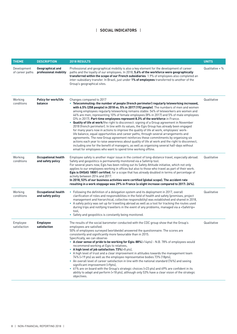# | **SOCIAL INDICATORS** |

| <b>THEME</b>                   | <b>DESCRIPTION</b>                              | <b>2018 RESULTS</b>                                                                                                                                                                                                                                                                                                                                                                                                                                                                                                                                                                                                                                                                                                                                                                                                                                                                                                                                                                                                                                                                                                                                                                                                        | <b>UNITS</b>      |
|--------------------------------|-------------------------------------------------|----------------------------------------------------------------------------------------------------------------------------------------------------------------------------------------------------------------------------------------------------------------------------------------------------------------------------------------------------------------------------------------------------------------------------------------------------------------------------------------------------------------------------------------------------------------------------------------------------------------------------------------------------------------------------------------------------------------------------------------------------------------------------------------------------------------------------------------------------------------------------------------------------------------------------------------------------------------------------------------------------------------------------------------------------------------------------------------------------------------------------------------------------------------------------------------------------------------------------|-------------------|
| Development<br>of career paths | Geographical and<br>professional mobility       | Professional and geographical mobility is also a key element for the development of career<br>paths and the loyalty of our employees. In 2018, 5.6% of the workforce were geographically<br>transferred within the scope of our French subsidiaries. 1.9% of employees also completed an<br>inter-subsidiary transfer. In Brazil, just under 1% of employees transferred to another of the<br>Group's geographical sites.                                                                                                                                                                                                                                                                                                                                                                                                                                                                                                                                                                                                                                                                                                                                                                                                  | Qualitative $+$ % |
| Working<br>conditions          | Policy for work/life<br>balance                 | Changes compared to 2017<br>• Telecommuting: the number of people (french perimeter) regularly teleworking increased,<br>with 6.5% (258 people) in 2018 vs. 5% in 2017 (192 people). The numbers of men and women<br>among employees regularly teleworking remains stable: 54% of teleworkers are women and<br>46% are men, representing 10% of female employees (8% in 2017) and 5% of male employees<br>(3% in 2017). Part-time employees represent 8.3% of the workforce in France.<br>. Quality of life at work/the right to disconnect: signing of a Group agreement in November<br>2018 (french perimeter). In line with its values, the Egis Group has already been engaged<br>for many years now in actions to improve the quality of life at work, employees' work-<br>life balance, equal opportunities and career paths, through several arrangements and<br>agreements. The new Group agreement reinforces these commitments by organising six<br>actions each year to raise awareness about quality of life at work and the right to disconnect,<br>including one for the benefit of managers, as well as organising several half-days without<br>email for employees who want to spend time working offline. | Qualitative       |
| Working<br>conditions          | <b>Occupational health</b><br>and safety policy | Employee safety is another major issue in the context of long-distance travel, especially abroad.<br>Safety and geopolitics is permanently monitored via a Safetrip tool.<br>For several years now, Egis has been rolling out its Safety Attitude initiative, which not only<br>applies to our employees working in offices but also to those who travel as part of their work.<br>Egis is OHSAS 18001 certified, for a scope that has already doubled in terms of percentage of<br>activity between 2014 and 2017.<br>In 2018, 53% of our business activities were certified (global scope). The accident rate<br>resulting in a work stoppage was 29% in France (a slight increase compared to 2017: 26%).                                                                                                                                                                                                                                                                                                                                                                                                                                                                                                               | Qualitative       |
| Working<br>conditions          | <b>Occupational health</b><br>and safety policy | • Following the definition of a delegation system and its deployment in 2017, overall<br>clarification of roles and responsibilities in the field of health and safety (premises, project<br>management and hierarchical, collective responsibility) was established and shared in 2018,<br>• A safety policy was set up for travelling abroad as well as a tool for tracking the routes used<br>during trips and notifying travellers in the event of any problems, managed via a «Safetrip»<br>tool,<br>• Safety and geopolitics is constantly being monitored.                                                                                                                                                                                                                                                                                                                                                                                                                                                                                                                                                                                                                                                          | Qualitative       |
| Employee<br>satisfaction       | <b>Employee</b><br>satisfaction                 | The results of the social barometer conducted with the CDC group show that the Group's<br>employees are satisfied.<br>50% of employees surveyed (worldwide) answered the questionnaire. The scores are<br>consistently and significantly more favourable than in 2015.<br>Specifically, we can observe:<br>• A clear sense of pride to be working for Egis: 88%(+14pts) - N.B. 78% of employees would<br>recommend working at Egis to relatives,<br>• A high level of job satisfaction: 73%(+8 pts).<br>• A high level of trust and a clear improvement in attitudes towards the management team<br>74% (+19 pts) as well as the employee representative bodies 73% (18pts),<br>• An overall level of career satisfaction in line with the national standard (76%) and seeing<br>significant improvement (+9pts),<br>• 61% are on board with the Group's strategic choices (+23 pts) and 69% are confident in its<br>ability to adapt and perform (+18 pts), although only 53% have a clear vision of the strategic<br>objectives.                                                                                                                                                                                         | Qualitative       |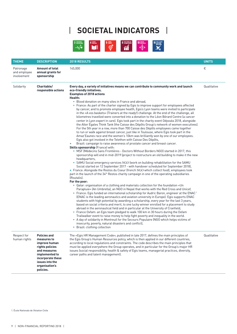# | **SOCIETAL INDICATORS** |



| <b>THEME</b>                             | <b>DESCRIPTION</b>                                                                                                                                                              | 2018 RESULTS                                                                                                                                                                                                                                                                                                                                                                                                                                                                                                                                                                                                                                                                                                                                                                                                                                                                                                                                                                                                                                                                                                                                                                                                                                                                                                                                                                                                                                                                                                                                                                                                                                                                                                                                                                                                                                                                                                                                                                                                                                                                                                                                                                                                                                                                                                                                                                                                                                                                                                                                                                                                                                                                                                                                                                                                                                                                                                           | <b>UNITS</b> |
|------------------------------------------|---------------------------------------------------------------------------------------------------------------------------------------------------------------------------------|------------------------------------------------------------------------------------------------------------------------------------------------------------------------------------------------------------------------------------------------------------------------------------------------------------------------------------------------------------------------------------------------------------------------------------------------------------------------------------------------------------------------------------------------------------------------------------------------------------------------------------------------------------------------------------------------------------------------------------------------------------------------------------------------------------------------------------------------------------------------------------------------------------------------------------------------------------------------------------------------------------------------------------------------------------------------------------------------------------------------------------------------------------------------------------------------------------------------------------------------------------------------------------------------------------------------------------------------------------------------------------------------------------------------------------------------------------------------------------------------------------------------------------------------------------------------------------------------------------------------------------------------------------------------------------------------------------------------------------------------------------------------------------------------------------------------------------------------------------------------------------------------------------------------------------------------------------------------------------------------------------------------------------------------------------------------------------------------------------------------------------------------------------------------------------------------------------------------------------------------------------------------------------------------------------------------------------------------------------------------------------------------------------------------------------------------------------------------------------------------------------------------------------------------------------------------------------------------------------------------------------------------------------------------------------------------------------------------------------------------------------------------------------------------------------------------------------------------------------------------------------------------------------------------|--------------|
| Patronage<br>and employee<br>involvement | <b>Amount of total</b><br>annual grants for<br>sponsorship                                                                                                                      | 145,000                                                                                                                                                                                                                                                                                                                                                                                                                                                                                                                                                                                                                                                                                                                                                                                                                                                                                                                                                                                                                                                                                                                                                                                                                                                                                                                                                                                                                                                                                                                                                                                                                                                                                                                                                                                                                                                                                                                                                                                                                                                                                                                                                                                                                                                                                                                                                                                                                                                                                                                                                                                                                                                                                                                                                                                                                                                                                                                |              |
| Solidarity                               | Charitable/<br>responsible actions                                                                                                                                              | Every day, a variety of initiatives means we can contribute to community work and launch<br>eco-friendly initiatives.<br><b>Examples of 2018 actions</b><br>Health:<br>• Blood donation on many sites in France and abroad,<br>• France: As part of the charter signed by Egis to improve support for employees affected<br>by cancer, and to promote employee health, Egis's Lyon teams were invited to participate<br>in the «A vos baskets» (Trainers at the ready!) challenge. At the end of the challenge, all<br>kilometres travelled were converted into a donation to the Léon Bérard Centre (a cancer<br>center in Lyon expert in care). Egis took part in the charity event Odysséa 2018, alongside<br>the Alter Egales Think Tank (the Caisse des Dépôts Group's network of women executives).<br>For the 5th year in a row, more than 700 Caisse des Dépôts employees came together<br>to run or walk against breast cancer, just like in Toulouse, where Egis took part in the<br>Amaz'Eaunes race and the women's 10km was brilliantly won by one of our employees.<br>Egis also got involved in the Telethon with Caisse Des Dépôts,<br>Brazil: campaign to raise awareness of prostate cancer and breast cancer.<br>Skills sponsorship (France) with:<br>• MSF (Médecins Sans Frontières - Doctors Without Borders NGO) started in 2017, this<br>sponsorship will end in mid-2019 (project to restructure an old building to make it the new<br>headquarters,<br>• SAMU Social emergency services NGO (work on building rehabilitation for the SAMU<br>Social started on 12 September 2017 - with handover scheduled for September 2018),<br>• France: Alongside the Restos du Coeur (french NGO which collect food), employees took<br>part in the launch of the 34 <sup>th</sup> Restos charity campaign in one of the operating subsidiaries<br>(Routalis).<br>For the poor:<br>• Qatar: organisation of a clothing and materials collection for the foundation «Un<br>Parapluie» (An Umbrella), an NGO in Nepal that works with the Red Cross and Unicef,<br>• France: Egis funded an international scholarship for Audric Baron, engineer at the ENAC1<br>(ENAC is the leading aeronautics and aviation university in Europe). Egis supports ENAC<br>students with high potential by awarding a scholarship, every year for the last 3 years,<br>based on social criteria and merit, to one lucky winner enrolled for a placement to study<br>abroad in the aeronautical field and in particular at the University of Cranfield,<br>• France Oxfam: an Egis team pledged to walk 100 km in 30 hours during the Oxfam<br>Trailwalker event to raise money to help fight poverty and inequality in the world.<br>• A day of solidarity in Montreuil for the Secours Populaire (NGO which helps victims of<br>insecurity, poverty, natural disasters and conflict),<br>• Brazil: clothing collection | Qualitative  |
| Respect for<br>human rights              | <b>Policies and</b><br>measures to<br>improve human<br>rights policies<br>and measures<br>implemented to<br>incorporate these<br>issues into the<br>organisation's<br>policies. | The «Egis HR Management Code», published in late 2017, defines the main principles of<br>the Egis Group's Human Resources policy, which is then applied in our different countries,<br>according to local regulations and constraints. The code describes the main principles that<br>must be applied everywhere the Group operates, and in particular for the Group's major HR<br>issues (social responsibility, health & safety of Egis teams, managerial practices, diversity,<br>career paths and talent management).                                                                                                                                                                                                                                                                                                                                                                                                                                                                                                                                                                                                                                                                                                                                                                                                                                                                                                                                                                                                                                                                                                                                                                                                                                                                                                                                                                                                                                                                                                                                                                                                                                                                                                                                                                                                                                                                                                                                                                                                                                                                                                                                                                                                                                                                                                                                                                                              | Qualitative  |

1. École Nationale de l'Aviation Civile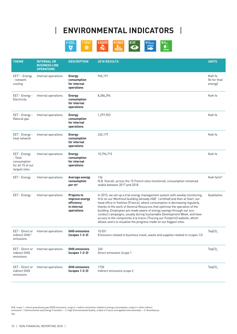

| <b>THEME</b>                                                                 | <b>INTERNAL OR</b><br><b>BUSINESS LINE</b><br><b>OPERATIONS</b> | <b>DESCRIPTION</b>                                                              | 2018 RESULTS                                                                                                                                                                                                                                                                                                                                                                                                                                                                                                                                                                                                                                      | <b>UNITS</b>                      |
|------------------------------------------------------------------------------|-----------------------------------------------------------------|---------------------------------------------------------------------------------|---------------------------------------------------------------------------------------------------------------------------------------------------------------------------------------------------------------------------------------------------------------------------------------------------------------------------------------------------------------------------------------------------------------------------------------------------------------------------------------------------------------------------------------------------------------------------------------------------------------------------------------------------|-----------------------------------|
| $EET2$ - Energy<br>- network<br>cooling                                      | Internal operations                                             | <b>Energy</b><br>consumption<br>for internal<br>operations                      | 965,191                                                                                                                                                                                                                                                                                                                                                                                                                                                                                                                                                                                                                                           | Kwh fe<br>Ife for final<br>energy |
| EET - Energy -<br>Electricity                                                | Internal operations                                             | <b>Energy</b><br>consumption<br>for internal<br>operations                      | 8,286,394                                                                                                                                                                                                                                                                                                                                                                                                                                                                                                                                                                                                                                         | Kwh fe                            |
| EET - Energy -<br>Natural gas                                                | Internal operations                                             | <b>Energy</b><br>consumption<br>for internal<br>operations                      | 1,297,953                                                                                                                                                                                                                                                                                                                                                                                                                                                                                                                                                                                                                                         | Kwh fe                            |
| EET - Energy -<br>heat network                                               | Internal operations                                             | <b>Energy</b><br>consumption<br>for internal<br>operations                      | 245,177                                                                                                                                                                                                                                                                                                                                                                                                                                                                                                                                                                                                                                           | Kwh fe                            |
| EET - Energy<br>- Total<br>consumption<br>for all 15 of our<br>largest sites | Internal operations                                             | <b>Energy</b><br>consumption<br>for internal<br>operations                      | 10,794,715                                                                                                                                                                                                                                                                                                                                                                                                                                                                                                                                                                                                                                        | Kwh fe                            |
| EET - Energy                                                                 | Internal operations                                             | Average energy<br>consumption<br>per m <sup>2</sup>                             | 134<br>N.B. Overall, across the 15 French sites monitored, consumption remained<br>stable between 2017 and 2018.                                                                                                                                                                                                                                                                                                                                                                                                                                                                                                                                  | Kwh fe/m <sup>2</sup>             |
| EET - Energy                                                                 | Internal operations                                             | <b>Projects to</b><br>improve energy<br>efficiency<br>in internal<br>operations | In 2015, we set up a trial energy management system with weekly monitoring,<br>first on our Montreuil building (already HQE <sup>1</sup> certified) and then at Start, our<br>head office in Yvelines (France), where consumption is decreasing regularly,<br>thanks to the work of General Resources that optimise the operation of the<br>building. Employees are made aware of energy savings through our eco-<br>conduct campaigns, usually during Sustainable Development Week, and have<br>access to the «empreinte à la trace» (Tracing our Footprint) website, which<br>allows users to visualise the progress made on our biggest sites. | Qualitative                       |
| EET - Direct or<br>indirect GHG <sup>3</sup><br>emissions                    | Internal operations                                             | <b>GHG</b> emissions<br>$(s$ copes $1-2-3$                                      | 10031<br>Emissions related to business travel, waste and supplies related to scopes 1/2                                                                                                                                                                                                                                                                                                                                                                                                                                                                                                                                                           | TeqCO <sub>2</sub>                |
| EET - Direct or<br>indirect GHG<br>emissions                                 | Internal operations                                             | <b>GHG emissions</b><br>$(s$ copes 1-2-3 $)$                                    | 240<br>Direct emissions Scope 1                                                                                                                                                                                                                                                                                                                                                                                                                                                                                                                                                                                                                   | TeqCO <sub>2</sub>                |
| EET - Direct or<br>indirect GHG<br>emissions                                 | Internal operations                                             | <b>GHG emissions</b><br>$(s$ copes 1-2-3 $)$                                    | 1730<br>Indirect emissions scope 2                                                                                                                                                                                                                                                                                                                                                                                                                                                                                                                                                                                                                | TeqCO <sub>2</sub>                |

N.B. scope 1 = direct greenhouse gas (GHG) emissions; scope 2 = indirect emissions related to energy consumption; scope 3 = other indirect<br>emissions 1. Environmental and Energy Transition — 2. High Environmental Quality, a Gas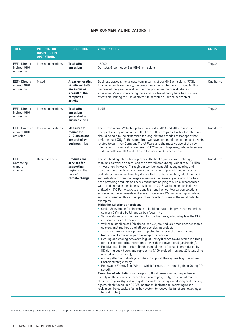| <b>THEME</b>                                 | <b>INTERNAL OR</b><br><b>BUSINESS LINE</b><br><b>OPERATIONS</b> | <b>DESCRIPTION</b>                                                                                     | <b>2018 RESULTS</b>                                                                                                                                                                                                                                                                                                                                                                                                                                                                                                                                                                                                                                                                                                                                                                                                                                                                                                                                                                                                                                                                                                                                                                                                                                                                                                                                                                                                                                                                                                                                                                                                                                                                                                                                                                                                                                                                                                                                                                                                                                                                                                                                                                                                                                                                                                                                                                                                                                                                                                                                   | <b>UNITS</b>       |
|----------------------------------------------|-----------------------------------------------------------------|--------------------------------------------------------------------------------------------------------|-------------------------------------------------------------------------------------------------------------------------------------------------------------------------------------------------------------------------------------------------------------------------------------------------------------------------------------------------------------------------------------------------------------------------------------------------------------------------------------------------------------------------------------------------------------------------------------------------------------------------------------------------------------------------------------------------------------------------------------------------------------------------------------------------------------------------------------------------------------------------------------------------------------------------------------------------------------------------------------------------------------------------------------------------------------------------------------------------------------------------------------------------------------------------------------------------------------------------------------------------------------------------------------------------------------------------------------------------------------------------------------------------------------------------------------------------------------------------------------------------------------------------------------------------------------------------------------------------------------------------------------------------------------------------------------------------------------------------------------------------------------------------------------------------------------------------------------------------------------------------------------------------------------------------------------------------------------------------------------------------------------------------------------------------------------------------------------------------------------------------------------------------------------------------------------------------------------------------------------------------------------------------------------------------------------------------------------------------------------------------------------------------------------------------------------------------------------------------------------------------------------------------------------------------------|--------------------|
| EET - Direct or<br>indirect GHG<br>emissions | Internal operations                                             | <b>Total GHG</b><br>emissions                                                                          | 12,000<br>Our total Greenhouse Gas (GHG) emissions                                                                                                                                                                                                                                                                                                                                                                                                                                                                                                                                                                                                                                                                                                                                                                                                                                                                                                                                                                                                                                                                                                                                                                                                                                                                                                                                                                                                                                                                                                                                                                                                                                                                                                                                                                                                                                                                                                                                                                                                                                                                                                                                                                                                                                                                                                                                                                                                                                                                                                    | TeqCO <sub>2</sub> |
| EET - Direct or<br>indirect GHG<br>emissions | Mixed                                                           | <b>Areas generating</b><br>significant GHG<br>emissions as<br>a result of the<br>company's<br>activity | Business travel is the largest item in terms of our GHG emissions (77%).<br>Thanks to our travel policy, the emissions inherent to this item have further<br>decreased this year, as well as their proportion in the overall share of<br>emissions. Videoconferencing tools and our travel policy have had positive<br>effects on limiting the use of aircraft in particular (French perimeter).                                                                                                                                                                                                                                                                                                                                                                                                                                                                                                                                                                                                                                                                                                                                                                                                                                                                                                                                                                                                                                                                                                                                                                                                                                                                                                                                                                                                                                                                                                                                                                                                                                                                                                                                                                                                                                                                                                                                                                                                                                                                                                                                                      | Qualitative        |
| EET - Direct or<br>indirect GHG<br>emissions | Internal operations                                             | <b>Total GHG</b><br>emissions<br>generated by<br>business trips                                        | 9,295                                                                                                                                                                                                                                                                                                                                                                                                                                                                                                                                                                                                                                                                                                                                                                                                                                                                                                                                                                                                                                                                                                                                                                                                                                                                                                                                                                                                                                                                                                                                                                                                                                                                                                                                                                                                                                                                                                                                                                                                                                                                                                                                                                                                                                                                                                                                                                                                                                                                                                                                                 | TeqCO <sub>2</sub> |
| EET - Direct or<br>indirect GHG<br>emission  | Internal operations                                             | <b>Measures to</b><br>reduce the<br><b>GHG emissions</b><br>generated by<br>business trips             | The «Travel» and «Vehicle» policies revised in 2014 and 2015 to improve the<br>energy efficiency of our vehicle fleet are still in progress. Particular attention<br>should be paid to the preference for long-distance modes of transport that<br>emit the least $CO2$ . At the same time, we have continued the actions and events<br>related to our Inter-Company Travel Plans and the massive use of the new<br>integrated communication system (LYNC/Skype Entreprises), whose business<br>model results in a 10% reduction in the need for business travel.                                                                                                                                                                                                                                                                                                                                                                                                                                                                                                                                                                                                                                                                                                                                                                                                                                                                                                                                                                                                                                                                                                                                                                                                                                                                                                                                                                                                                                                                                                                                                                                                                                                                                                                                                                                                                                                                                                                                                                                     | Qualitative        |
| EET-<br>Combating<br>climate<br>change       | <b>Business lines</b>                                           | <b>Products and</b><br>services for<br>supporting<br>regions in the<br>face of<br>climate change       | Egis is a leading international player in the fight against climate change,<br>thanks to its work on operations of an overall amount equivalent to $\epsilon$ 10 billion<br>in investment in works. Through our work on consulting, engineering and<br>operations, we can have an influence on our clients' projects and emissions<br>and take action on the three key drivers that are the mitigation, adaptation and<br>sequestration of greenhouse gas emissions. For several years now, Egis has<br>been providing products and services that are helping to build a decarbonised<br>world and increase the planet's resilience. In 2018, we launched an initiative<br>entitled «1.5°C Pathways», to gradually strengthen our low carbon solutions<br>across all our assignments and areas of operation. We continue to promote our<br>solutions based on three main priorities for action. Some of the most notable<br>examples:<br><b>Mitigation solutions or projects:</b><br>• Cycle-Up (solution for the reuse of building materials, given that materials<br>concern 56% of a building's carbon footprint),<br>• Variways <sup>®</sup> (eco-comparison tool for road variants, which displays the GHG<br>emissions for each variant),<br>• Vetiver to stabilise soil (six times less $CO2$ emitted, six times cheaper than a<br>conventional method), and all our eco-design projects.<br>• The «Tram Autrement» project, adjusted to the size of different cities<br>(reduction of emissions per passenger transported),<br>• Heating and cooling networks (e.g. at Saclay (French town), which is aiming<br>for a carbon footprint three times lower than conventional gas heating),<br>• Positive tolls (in Rotterdam (Netherlands) the traffic has been reduced by<br>8% during peak hours and represents 4,100 avoided trips and 27% less time<br>wasted in traffic jams),<br>• not forgetting our strategic studies to support the regions (e.g. Paris Low<br>Carbon strategic study),<br>• Renewable Energy (e.g. Wind-it which forecasts an annual gain of 70 teq $CO2$<br>saved).<br><b>Examples of adaptation:</b> with regard to flood prevention, our expertise in<br>identifying the climatic vulnerabilities of a region, a city, a section of road, a<br>structure (e.g. in Algiers), our systems for forecasting, monitoring and warning<br>against flash floods; our ROSAU approach dedicated to improving urban<br>resilience (the capacity of an urban system to recover its functions following a<br>natural disaster). | Qualitative        |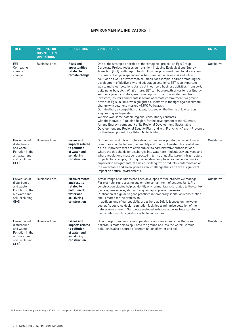| <b>THEME</b>                                                                                               | <b>INTERNAL OR</b><br><b>BUSINESS LINE</b><br><b>OPERATIONS</b> | <b>DESCRIPTION</b>                                                                                           | <b>2018 RESULTS</b>                                                                                                                                                                                                                                                                                                                                                                                                                                                                                                                                                                                                                                                                                                                                                                                                                                                                                                                                                                                                                                                                                                                                                                                                                                                                                                                                                                                                 | <b>UNITS</b> |
|------------------------------------------------------------------------------------------------------------|-----------------------------------------------------------------|--------------------------------------------------------------------------------------------------------------|---------------------------------------------------------------------------------------------------------------------------------------------------------------------------------------------------------------------------------------------------------------------------------------------------------------------------------------------------------------------------------------------------------------------------------------------------------------------------------------------------------------------------------------------------------------------------------------------------------------------------------------------------------------------------------------------------------------------------------------------------------------------------------------------------------------------------------------------------------------------------------------------------------------------------------------------------------------------------------------------------------------------------------------------------------------------------------------------------------------------------------------------------------------------------------------------------------------------------------------------------------------------------------------------------------------------------------------------------------------------------------------------------------------------|--------------|
| EET-<br>Combating<br>climate<br>change                                                                     | <b>Business lines</b>                                           | <b>Risks and</b><br>opportunities<br>related to<br>climate change                                            | One of the strategic priorities of the «Imagine» project, an Egis Group<br>Corporate Project, focuses on transition, including Ecological and Energy<br>Transition (EET). With regard to EET, Egis has positioned itself to take account<br>of climate change in spatial and urban planning, offering risk reduction<br>solutions as well as low carbon solutions, for example, and/or promoting the<br>development of biodiversity, and adaptation solutions. EET is an important<br>way to make our solutions stand out in our core business activities (transport,<br>building, urban, etc.). What's more, EET can be a growth driver for our Energy<br>solutions (energy in cities, energy in regions). The growing demand from<br>investors, insurers and clients in terms of climate commitment is a growth<br>driver for Egis. In 2018, we highlighted our efforts in the fight against climate<br>change with solutions marked «1.5°C Pathways».<br>Our Ideathon, a competition of ideas, focused on the theme of low carbon<br>engineering and operation.<br>We also won some notable regional consultancy contracts:<br>with the Nouvelle-Aquitaine Region, for the development of the «Climate,<br>Air and Energy» component of its Regional Development, Sustainable<br>Development and Regional Equality Plan, and with French city Aix-en-Provence<br>for the development of its Urban Mobility Plan. | Qualitative  |
| Prevention of<br>disturbance<br>and waste<br>Pollution in the<br>air, water and<br>soil (excluding<br>GHG) | <b>Business lines</b>                                           | <b>Issues and</b><br>impacts related<br>to pollution<br>of water and<br>soil during<br>construction          | Our building and infrastructure designs must incorporate the issue of water<br>resources in order to limit the quantity and quality of waste. This is what we<br>do in our projects that are often subject to administrative authorisations,<br>where the thresholds for discharges into water are meticulously analysed and<br>where regulations must be respected in terms of quality (larger infrastructure<br>projects, for example). During the construction phase, as part of our works<br>supervision assignments, the risk of spilling toxic products, contamination of<br>the water table and so on, poses a real challenge that can have a significant<br>impact on natural environments.                                                                                                                                                                                                                                                                                                                                                                                                                                                                                                                                                                                                                                                                                                                 | Qualitative  |
| Prevention of<br>disturbance<br>and waste<br>Pollution in the<br>air, water and<br>soil (excluding<br>GHG) | <b>Business lines</b>                                           | <b>Measurements</b><br>and results<br>related to<br>pollution of<br>water and<br>soil during<br>construction | A wide range of solutions has been developed for the projects we manage.<br>For example, reprocessing and on-site containment of polluted land. Pre-<br>construction studies help us identify environmental risks related to the context<br>(terrain, time of year, etc.) and suggest appropriate measures.<br>Publication of a guide to good practices in temporary sanitation (construction<br>site), created for the profession.<br>In addition, one of our speciality areas here at Egis is focused on the water<br>sector. As such, we design sanitation facilities to minimise pollution of the<br>natural environment. Our tools developed in-house allow us to calculate the<br>best solutions with regard to available techniques.                                                                                                                                                                                                                                                                                                                                                                                                                                                                                                                                                                                                                                                                         | Qualitative  |
| Prevention of<br>disturbance<br>and waste<br>Pollution in the<br>air, water and<br>soil (excluding<br>GHG) | <b>Business lines</b>                                           | <b>Issues and</b><br>impacts related<br>to pollution<br>of water and<br>soil during<br>construction          | On our airport and motorway operations, accidents can cause fluids and<br>hazardous materials to spill onto the ground and into the water. Chronic<br>pollution is also a source of contamination of water and soil.                                                                                                                                                                                                                                                                                                                                                                                                                                                                                                                                                                                                                                                                                                                                                                                                                                                                                                                                                                                                                                                                                                                                                                                                | Qualitative  |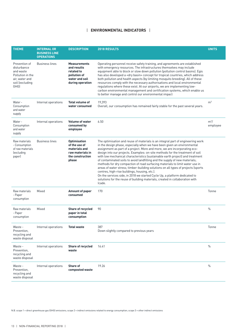| <b>THEME</b>                                                                                               | <b>INTERNAL OR</b><br><b>BUSINESS LINE</b><br><b>OPERATIONS</b> | <b>DESCRIPTION</b>                                                                                     | 2018 RESULTS                                                                                                                                                                                                                                                                                                                                                                                                                                                                                                                                                                                                                                                                                                                                                                                                                                                                            | <b>UNITS</b>       |
|------------------------------------------------------------------------------------------------------------|-----------------------------------------------------------------|--------------------------------------------------------------------------------------------------------|-----------------------------------------------------------------------------------------------------------------------------------------------------------------------------------------------------------------------------------------------------------------------------------------------------------------------------------------------------------------------------------------------------------------------------------------------------------------------------------------------------------------------------------------------------------------------------------------------------------------------------------------------------------------------------------------------------------------------------------------------------------------------------------------------------------------------------------------------------------------------------------------|--------------------|
| Prevention of<br>disturbance<br>and waste<br>Pollution in the<br>air, water and<br>soil (excluding<br>GHG) | <b>Business lines</b>                                           | <b>Measurements</b><br>and results<br>related to<br>pollution of<br>water and soil<br>during operation | Operating personnel receive safety training, and agreements are established<br>with emergency resources. The infrastructures themselves may include<br>equipment able to block or slow down pollution (pollution control basins). Egis<br>has also developed a «dry basin» concept for tropical countries, which address<br>both pollution and health aspects (by limiting mosquito breeding). All of these<br>resources comply with the necessary authorisations and local environmental<br>regulations where these exist. At our airports, we are implementing low-<br>carbon environmental management and certification systems, which enable us<br>to better manage and control our environmental impact                                                                                                                                                                            |                    |
| Water -<br>Consumption<br>and water<br>supply                                                              | Internal operations                                             | Total volume of<br>water consumed                                                                      | 19.393<br>Overall, our consumption has remained fairly stable for the past several years.                                                                                                                                                                                                                                                                                                                                                                                                                                                                                                                                                                                                                                                                                                                                                                                               | m <sup>3</sup>     |
| Water -<br>Consumption<br>and water<br>supply                                                              | Internal operations                                             | <b>Volume of water</b><br>consumed by<br>employee                                                      | 6.50                                                                                                                                                                                                                                                                                                                                                                                                                                                                                                                                                                                                                                                                                                                                                                                                                                                                                    | $m^3/$<br>employee |
| Raw materials<br>- Consumption<br>of raw materials<br>(excluding<br>paper)                                 | <b>Business lines</b>                                           | <b>Optimisation</b><br>of the use of<br>materials and<br>raw materials in<br>the construction<br>phase | The optimisation and reuse of materials is an integral part of engineering work<br>in the design phase, especially when we have been given an environmental<br>assignment as part of a project. More and more, we are incorporating eco-<br>design into our projects. Examples: on-site methods for the treatment of soil<br>with low mechanical characteristics (sustainable earth project) and treatment<br>of contaminated soils to avoid landfilling and the supply of new materials;<br>methods for dry compaction of road surfacing materials to limit water use in<br>areas of water stress; timber-building solutions on all types of projects (sports<br>centres, high-rise buildings, housing, etc.).<br>On the services side, in 2018 we started Cycle Up, a platform dedicated to<br>solutions for the reuse of building materials, created in collaboration with<br>Icade. |                    |
| Raw materials<br>- Paper<br>consumption                                                                    | Mixed                                                           | <b>Amount of paper</b><br>consumed                                                                     | 170                                                                                                                                                                                                                                                                                                                                                                                                                                                                                                                                                                                                                                                                                                                                                                                                                                                                                     | Tonne              |
| Raw materials<br>- Paper<br>consumption                                                                    | Mixed                                                           | Share of recycled<br>paper in total<br>consumption                                                     | 90                                                                                                                                                                                                                                                                                                                                                                                                                                                                                                                                                                                                                                                                                                                                                                                                                                                                                      | $\%$               |
| Waste -<br>Prevention,<br>recycling and<br>waste disposal                                                  | Internal operations                                             | <b>Total waste</b>                                                                                     | 387<br>Down slightly compared to previous years                                                                                                                                                                                                                                                                                                                                                                                                                                                                                                                                                                                                                                                                                                                                                                                                                                         | Tonne              |
| Waste -<br>Prevention,<br>recycling and<br>waste disposal                                                  | Internal operations                                             | Share of recycled<br>waste                                                                             | 16.41                                                                                                                                                                                                                                                                                                                                                                                                                                                                                                                                                                                                                                                                                                                                                                                                                                                                                   | $\frac{0}{0}$      |
| Waste -<br>Prevention,<br>recycling and<br>waste disposal                                                  | Internal operations                                             | <b>Share of</b><br>composted waste                                                                     | 19.26                                                                                                                                                                                                                                                                                                                                                                                                                                                                                                                                                                                                                                                                                                                                                                                                                                                                                   | $\%$               |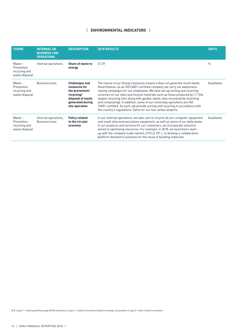| <b>THEME</b>                                              | <b>INTERNAL OR</b><br><b>BUSINESS LINE</b><br><b>OPERATIONS</b> | <b>DESCRIPTION</b>                                                                                                                | <b>2018 RESULTS</b>                                                                                                                                                                                                                                                                                                                                                                                                                                                                                                                                                                                                         | <b>UNITS</b>  |
|-----------------------------------------------------------|-----------------------------------------------------------------|-----------------------------------------------------------------------------------------------------------------------------------|-----------------------------------------------------------------------------------------------------------------------------------------------------------------------------------------------------------------------------------------------------------------------------------------------------------------------------------------------------------------------------------------------------------------------------------------------------------------------------------------------------------------------------------------------------------------------------------------------------------------------------|---------------|
| Waste -<br>Prevention,<br>recycling and<br>waste disposal | Internal operations                                             | Share of waste to<br>energy                                                                                                       | 31.29                                                                                                                                                                                                                                                                                                                                                                                                                                                                                                                                                                                                                       | $\frac{0}{0}$ |
| Waste -<br>Prevention,<br>recycling and<br>waste disposal | <b>Business lines</b>                                           | <b>Challenges and</b><br>measures for<br>the prevention/<br>recycling/<br>disposal of waste<br>generated during<br>site operation | The nature of our Group's business means it does not generate much waste.<br>Nevertheless, as an ISO14001-certified company, we carry out awareness-<br>raising campaigns for our employees. We have set up sorting and recycling<br>schemes on our sites and recycle materials such as those produced by I.T. (the<br>largest recycling item along with garden waste, also recovered by mulching<br>and composting). In addition, some of our motorway operations are ISO<br>14001-certified. As such, we provide sorting and recycling in accordance with<br>the country's regulations. Same for our low carbon airports. | Qualitative   |
| Waste -<br>Prevention,<br>recycling and<br>waste disposal | Internal operations,<br><b>Business lines</b>                   | <b>Policy related</b><br>to the circular<br>economy                                                                               | In our internal operations, we take care to recycle all our computer equipment<br>and small telecommunications equipment, as well as some of our daily waste.<br>In our products and services for our customers, we incorporate solutions<br>aimed at optimising resources. For example, in 2018, we launched a start-<br>up with the company Icade named «CYCLE UP «, to develop a collaborative<br>platform devoted to solutions for the reuse of building materials.                                                                                                                                                     | Qualitative   |